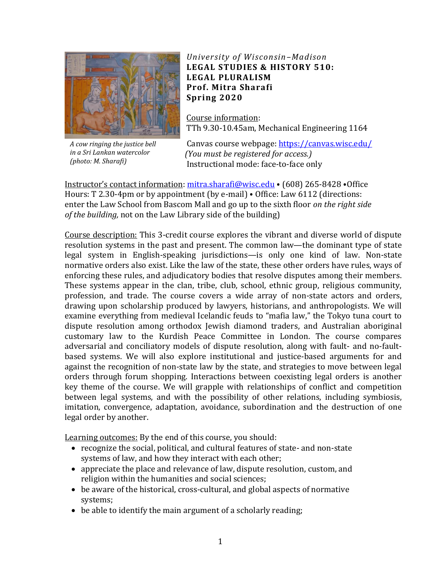

*A cow ringing the justice bell in a Sri Lankan watercolor (photo: M. Sharafi)*

## *University of Wisconsin–Madison* **LEGAL STUDIES & HISTORY 510: LEGAL PLURALISM Prof. Mitra Sharafi Spring 2020**

Course information: TTh 9.30-10.45am, Mechanical Engineering 1164

 Canvas course webpage: https://canvas.wis[c.edu/](https://canvas.wisc.edu/)  *(You must be registered for access.)* Instructional mode: face-to-face only

Instructor's contact information: [mitra.sharafi@wisc.edu](mailto:mitra.sharafi@wisc.edu) ⦁ (608) 265-8428 ⦁Office Hours: T 2.30-4pm or by appointment (by e-mail) ⦁ Office: Law 6112 (directions: enter the Law School from Bascom Mall and go up to the sixth floor *on the right side of the building,* not on the Law Library side of the building)

Course description: This 3-credit course explores the vibrant and diverse world of dispute resolution systems in the past and present. The common law—the dominant type of state legal system in English-speaking jurisdictions—is only one kind of law. Non-state normative orders also exist. Like the law of the state, these other orders have rules, ways of enforcing these rules, and adjudicatory bodies that resolve disputes among their members. These systems appear in the clan, tribe, club, school, ethnic group, religious community, profession, and trade. The course covers a wide array of non-state actors and orders, drawing upon scholarship produced by lawyers, historians, and anthropologists. We will examine everything from medieval Icelandic feuds to "mafia law," the Tokyo tuna court to dispute resolution among orthodox Jewish diamond traders, and Australian aboriginal customary law to the Kurdish Peace Committee in London. The course compares adversarial and conciliatory models of dispute resolution, along with fault- and no-faultbased systems. We will also explore institutional and justice-based arguments for and against the recognition of non-state law by the state, and strategies to move between legal orders through forum shopping. Interactions between coexisting legal orders is another key theme of the course. We will grapple with relationships of conflict and competition between legal systems, and with the possibility of other relations, including symbiosis, imitation, convergence, adaptation, avoidance, subordination and the destruction of one legal order by another.

Learning outcomes: By the end of this course, you should:

- recognize the social, political, and cultural features of state- and non-state systems of law, and how they interact with each other;
- appreciate the place and relevance of law, dispute resolution, custom, and religion within the humanities and social sciences;
- be aware of the historical, cross-cultural, and global aspects of normative systems;
- be able to identify the main argument of a scholarly reading;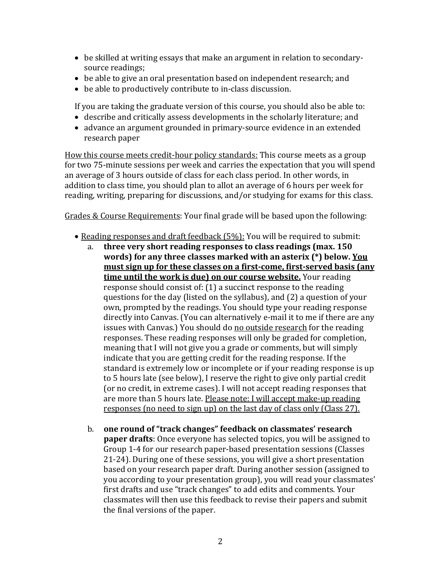- be skilled at writing essays that make an argument in relation to secondarysource readings;
- be able to give an oral presentation based on independent research; and
- be able to productively contribute to in-class discussion.

If you are taking the graduate version of this course, you should also be able to:

- describe and critically assess developments in the scholarly literature; and
- advance an argument grounded in primary-source evidence in an extended research paper

How this course meets credit-hour policy standards: This course meets as a group for two 75-minute sessions per week and carries the expectation that you will spend an average of 3 hours outside of class for each class period. In other words, in addition to class time, you should plan to allot an average of 6 hours per week for reading, writing, preparing for discussions, and/or studying for exams for this class.

Grades & Course Requirements: Your final grade will be based upon the following:

- Reading responses and draft feedback (5%): You will be required to submit:
	- a. **three very short reading responses to class readings (max. 150 words) for any three classes marked with an asterix (\*) below. You must sign up for these classes on a first-come, first-served basis (any time until the work is due) on our course website.** Your reading response should consist of: (1) a succinct response to the reading questions for the day (listed on the syllabus), and (2) a question of your own, prompted by the readings. You should type your reading response directly into Canvas. (You can alternatively e-mail it to me if there are any issues with Canvas.) You should do no outside research for the reading responses. These reading responses will only be graded for completion, meaning that I will not give you a grade or comments, but will simply indicate that you are getting credit for the reading response. If the standard is extremely low or incomplete or if your reading response is up to 5 hours late (see below), I reserve the right to give only partial credit (or no credit, in extreme cases). I will not accept reading responses that are more than 5 hours late. Please note: I will accept make-up reading responses (no need to sign up) on the last day of class only (Class 27).
	- b. **one round of "track changes" feedback on classmates' research paper drafts**: Once everyone has selected topics, you will be assigned to Group 1-4 for our research paper-based presentation sessions (Classes 21-24). During one of these sessions, you will give a short presentation based on your research paper draft. During another session (assigned to you according to your presentation group), you will read your classmates' first drafts and use "track changes" to add edits and comments. Your classmates will then use this feedback to revise their papers and submit the final versions of the paper.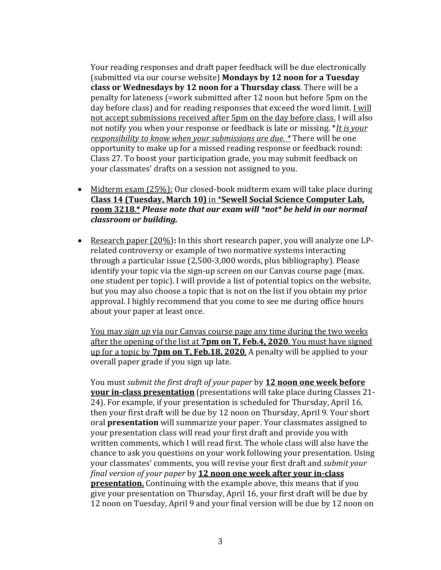Your reading responses and draft paper feedback will be due electronically (submitted via our course website) **Mondays by 12 noon for a Tuesday class or Wednesdays by 12 noon for a Thursday class**. There will be a penalty for lateness (=work submitted after 12 noon but before 5pm on the day before class) and for reading responses that exceed the word limit. I will not accept submissions received after 5pm on the day before class. I will also not notify you when your response or feedback is late or missing. \**It is your responsibility to know when your submissions are due. \** There will be one opportunity to make up for a missed reading response or feedback round: Class 27. To boost your participation grade, you may submit feedback on your classmates' drafts on a session not assigned to you.

- Midterm exam (25%): Our closed-book midterm exam will take place during **Class 14 (Tuesday, March 10)** in \***Sewell Social Science Computer Lab, room 3218**.**\*** *Please note that our exam will \*not\* be held in our normal classroom or building.*
- Research paper (20%)**:** In this short research paper, you will analyze one LPrelated controversy or example of two normative systems interacting through a particular issue (2,500-3,000 words, plus bibliography). Please identify your topic via the sign-up screen on our Canvas course page (max. one student per topic). I will provide a list of potential topics on the website, but you may also choose a topic that is not on the list if you obtain my prior approval. I highly recommend that you come to see me during office hours about your paper at least once.

You may *sign up* via our Canvas course page any time during the two weeks after the opening of the list at **7pm on T, Feb.4, 2020**. You must have signed up for a topic by **7pm on T, Feb.18, 2020**. A penalty will be applied to your overall paper grade if you sign up late.

You must *submit the first draft of your paper* by **12 noon one week before your in-class presentation** (presentations will take place during Classes 21- 24). For example, if your presentation is scheduled for Thursday, April 16, then your first draft will be due by 12 noon on Thursday, April 9. Your short oral **presentation** will summarize your paper. Your classmates assigned to your presentation class will read your first draft and provide you with written comments, which I will read first. The whole class will also have the chance to ask you questions on your work following your presentation. Using your classmates' comments, you will revise your first draft and *submit your final version of your paper* by **12 noon one week after your in-class presentation.** Continuing with the example above, this means that if you give your presentation on Thursday, April 16, your first draft will be due by 12 noon on Tuesday, April 9 and your final version will be due by 12 noon on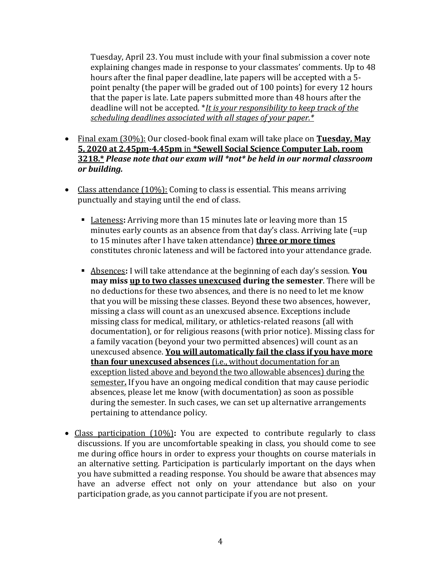Tuesday, April 23. You must include with your final submission a cover note explaining changes made in response to your classmates' comments. Up to 48 hours after the final paper deadline, late papers will be accepted with a 5 point penalty (the paper will be graded out of 100 points) for every 12 hours that the paper is late. Late papers submitted more than 48 hours after the deadline will not be accepted. \**It is your responsibility to keep track of the scheduling deadlines associated with all stages of your paper.\**

- Final exam (30%): Our closed-book final exam will take place on **Tuesday, May 5, 2020 at 2.45pm-4.45pm** in **\*Sewell Social Science Computer Lab, room 3218.\*** *Please note that our exam will \*not\* be held in our normal classroom or building.*
- Class attendance  $(10\%)$ : Coming to class is essential. This means arriving punctually and staying until the end of class.
	- Lateness**:** Arriving more than 15 minutes late or leaving more than 15 minutes early counts as an absence from that day's class. Arriving late (=up to 15 minutes after I have taken attendance) **three or more times** constitutes chronic lateness and will be factored into your attendance grade.
	- Absences**:** I will take attendance at the beginning of each day's session. **You may miss up to two classes unexcused during the semester**. There will be no deductions for these two absences, and there is no need to let me know that you will be missing these classes. Beyond these two absences, however, missing a class will count as an unexcused absence. Exceptions include missing class for medical, military, or athletics-related reasons (all with documentation), or for religious reasons (with prior notice). Missing class for a family vacation (beyond your two permitted absences) will count as an unexcused absence. **You will automatically fail the class if you have more than four unexcused absences** (i.e., without documentation for an exception listed above and beyond the two allowable absences) during the semester**.** If you have an ongoing medical condition that may cause periodic absences, please let me know (with documentation) as soon as possible during the semester. In such cases, we can set up alternative arrangements pertaining to attendance policy.
- Class participation (10%)**:** You are expected to contribute regularly to class discussions. If you are uncomfortable speaking in class, you should come to see me during office hours in order to express your thoughts on course materials in an alternative setting. Participation is particularly important on the days when you have submitted a reading response. You should be aware that absences may have an adverse effect not only on your attendance but also on your participation grade, as you cannot participate if you are not present.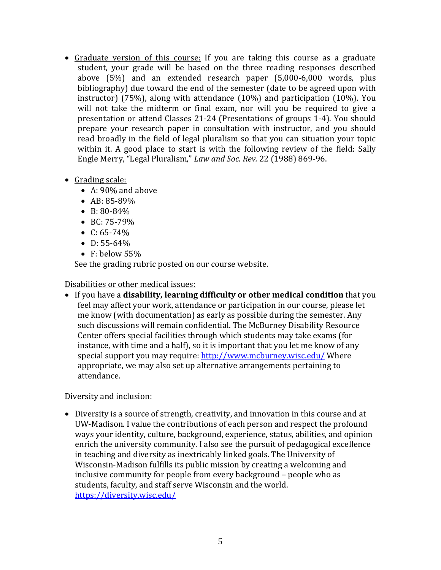- Graduate version of this course: If you are taking this course as a graduate student, your grade will be based on the three reading responses described above (5%) and an extended research paper (5,000-6,000 words, plus bibliography) due toward the end of the semester (date to be agreed upon with instructor) (75%), along with attendance (10%) and participation (10%). You will not take the midterm or final exam, nor will you be required to give a presentation or attend Classes 21-24 (Presentations of groups 1-4). You should prepare your research paper in consultation with instructor, and you should read broadly in the field of legal pluralism so that you can situation your topic within it. A good place to start is with the following review of the field: Sally Engle Merry, "Legal Pluralism," *Law and Soc. Rev.* 22 (1988) 869-96.
- Grading scale:
	- A: 90% and above
	- AB: 85-89%
	- B: 80-84%
	- BC: 75-79%
	- $C: 65 74\%$
	- $\bullet$  D: 55-64%
	- F: below  $55\%$

See the grading rubric posted on our course website.

Disabilities or other medical issues:

• If you have a **disability, learning difficulty or other medical condition** that you feel may affect your work, attendance or participation in our course, please let me know (with documentation) as early as possible during the semester. Any such discussions will remain confidential. The McBurney Disability Resource Center offers special facilities through which students may take exams (for instance, with time and a half), so it is important that you let me know of any special support you may require:<http://www.mcburney.wisc.edu/> Where appropriate, we may also set up alternative arrangements pertaining to attendance.

Diversity and inclusion:

• Diversity is a source of strength, creativity, and innovation in this course and at UW-Madison. I value the contributions of each person and respect the profound ways your identity, culture, background, experience, status, abilities, and opinion enrich the university community. I also see the pursuit of pedagogical excellence in teaching and diversity as inextricably linked goals. The University of Wisconsin-Madison fulfills its public mission by creating a welcoming and inclusive community for people from every background – people who as students, faculty, and staff serve Wisconsin and the world. <https://diversity.wisc.edu/>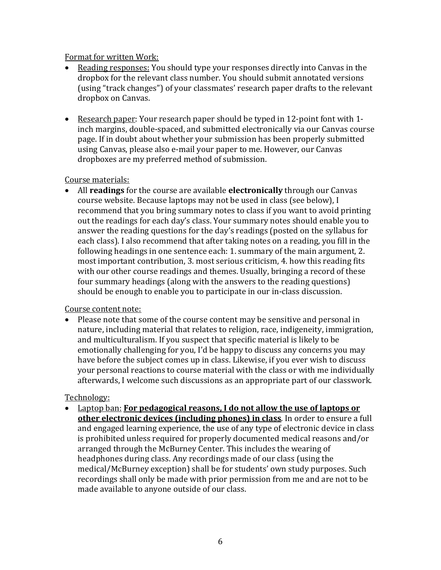## Format for written Work:

- Reading responses: You should type your responses directly into Canvas in the dropbox for the relevant class number. You should submit annotated versions (using "track changes") of your classmates' research paper drafts to the relevant dropbox on Canvas.
- Research paper: Your research paper should be typed in 12-point font with 1inch margins, double-spaced, and submitted electronically via our Canvas course page. If in doubt about whether your submission has been properly submitted using Canvas, please also e-mail your paper to me. However, our Canvas dropboxes are my preferred method of submission.

## Course materials:

• All **readings** for the course are available **electronically** through our Canvas course website. Because laptops may not be used in class (see below), I recommend that you bring summary notes to class if you want to avoid printing out the readings for each day's class. Your summary notes should enable you to answer the reading questions for the day's readings (posted on the syllabus for each class). I also recommend that after taking notes on a reading, you fill in the following headings in one sentence each: 1. summary of the main argument, 2. most important contribution, 3. most serious criticism, 4. how this reading fits with our other course readings and themes. Usually, bringing a record of these four summary headings (along with the answers to the reading questions) should be enough to enable you to participate in our in-class discussion.

# Course content note:

• Please note that some of the course content may be sensitive and personal in nature, including material that relates to religion, race, indigeneity, immigration, and multiculturalism. If you suspect that specific material is likely to be emotionally challenging for you, I'd be happy to discuss any concerns you may have before the subject comes up in class. Likewise, if you ever wish to discuss your personal reactions to course material with the class or with me individually afterwards, I welcome such discussions as an appropriate part of our classwork.

# Technology:

• Laptop ban: **For pedagogical reasons, I do not allow the use of laptops or other electronic devices (including phones) in class**. In order to ensure a full and engaged learning experience, the use of any type of electronic device in class is prohibited unless required for properly documented medical reasons and/or arranged through the McBurney Center. This includes the wearing of headphones during class. Any recordings made of our class (using the medical/McBurney exception) shall be for students' own study purposes. Such recordings shall only be made with prior permission from me and are not to be made available to anyone outside of our class.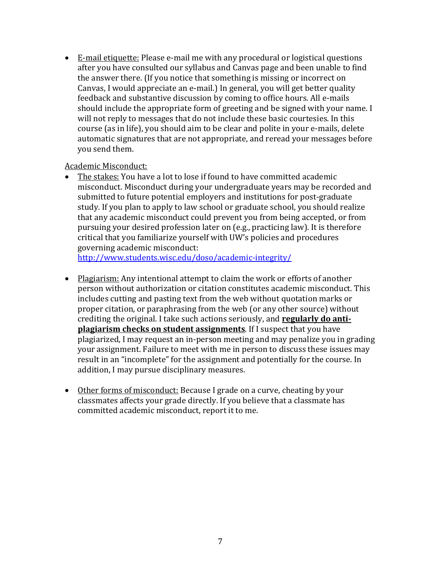• E-mail etiquette: Please e-mail me with any procedural or logistical questions after you have consulted our syllabus and Canvas page and been unable to find the answer there. (If you notice that something is missing or incorrect on Canvas, I would appreciate an e-mail.) In general, you will get better quality feedback and substantive discussion by coming to office hours. All e-mails should include the appropriate form of greeting and be signed with your name. I will not reply to messages that do not include these basic courtesies. In this course (as in life), you should aim to be clear and polite in your e-mails, delete automatic signatures that are not appropriate, and reread your messages before you send them.

#### Academic Misconduct:

The stakes: You have a lot to lose if found to have committed academic misconduct. Misconduct during your undergraduate years may be recorded and submitted to future potential employers and institutions for post-graduate study. If you plan to apply to law school or graduate school, you should realize that any academic misconduct could prevent you from being accepted, or from pursuing your desired profession later on (e.g., practicing law). It is therefore critical that you familiarize yourself with UW's policies and procedures governing academic misconduct:

<http://www.students.wisc.edu/doso/academic-integrity/>

- Plagiarism: Any intentional attempt to claim the work or efforts of another person without authorization or citation constitutes academic misconduct. This includes cutting and pasting text from the web without quotation marks or proper citation, or paraphrasing from the web (or any other source) without crediting the original. I take such actions seriously, and **regularly do antiplagiarism checks on student assignments**. If I suspect that you have plagiarized, I may request an in-person meeting and may penalize you in grading your assignment. Failure to meet with me in person to discuss these issues may result in an "incomplete" for the assignment and potentially for the course. In addition, I may pursue disciplinary measures.
- Other forms of misconduct: Because I grade on a curve, cheating by your classmates affects your grade directly. If you believe that a classmate has committed academic misconduct, report it to me.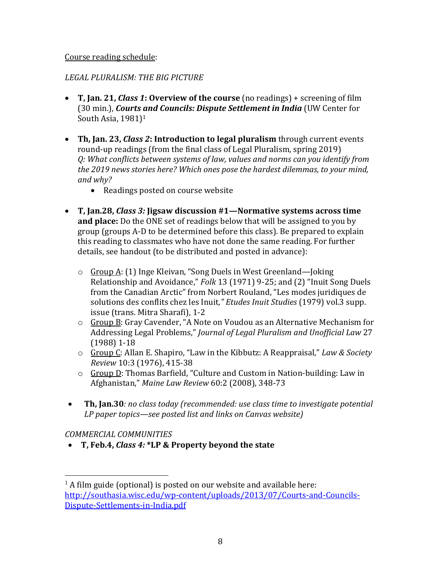## Course reading schedule:

# *LEGAL PLURALISM: THE BIG PICTURE*

- **T, Jan. 21,** *Class 1***: Overview of the course** (no readings) + screening of film (30 min.), *Courts and Councils: Dispute Settlement in India* (UW Center for South Asia, 1981)<sup>1</sup>
- **Th, Jan. 23,** *Class 2***: Introduction to legal pluralism** through current events round-up readings (from the final class of Legal Pluralism, spring 2019) *Q: What conflicts between systems of law, values and norms can you identify from the 2019 news stories here? Which ones pose the hardest dilemmas, to your mind, and why?*
	- Readings posted on course website
- **T, Jan.28,** *Class 3:* **Jigsaw discussion #1—Normative systems across time and place:** Do the ONE set of readings below that will be assigned to you by group (groups A-D to be determined before this class). Be prepared to explain this reading to classmates who have not done the same reading. For further details, see handout (to be distributed and posted in advance):
	- $\circ$  Group A: (1) Inge Kleivan, "Song Duels in West Greenland—Joking Relationship and Avoidance," *Folk* 13 (1971) 9-25; and (2) "Inuit Song Duels from the Canadian Arctic" from Norbert Rouland, "Les modes juridiques de solutions des conflits chez les Inuit*," Etudes Inuit Studies* (1979) vol.3 supp. issue (trans. Mitra Sharafi), 1-2
	- $\circ$  Group B: Gray Cavender, "A Note on Voudou as an Alternative Mechanism for Addressing Legal Problems," *Journal of Legal Pluralism and Unofficial Law* 27 (1988) 1-18
	- o Group C: Allan E. Shapiro, "Law in the Kibbutz: A Reappraisal," *Law & Society Review* 10:3 (1976), 415-38
	- $\circ$  Group D: Thomas Barfield, "Culture and Custom in Nation-building: Law in Afghanistan," *Maine Law Review* 60:2 (2008), 348-73
- **Th, Jan.30***: no class today (recommended: use class time to investigate potential LP paper topics—see posted list and links on Canvas website)*

#### *COMMERCIAL COMMUNITIES*

• **T, Feb.4,** *Class 4:* **\*LP & Property beyond the state**

 $<sup>1</sup>$  A film guide (optional) is posted on our website and available here:</sup> [http://southasia.wisc.edu/wp-content/uploads/2013/07/Courts-and-Councils-](http://southasia.wisc.edu/wp-content/uploads/2013/07/Courts-and-Councils-Dispute-Settlements-in-India.pdf)[Dispute-Settlements-in-India.pdf](http://southasia.wisc.edu/wp-content/uploads/2013/07/Courts-and-Councils-Dispute-Settlements-in-India.pdf)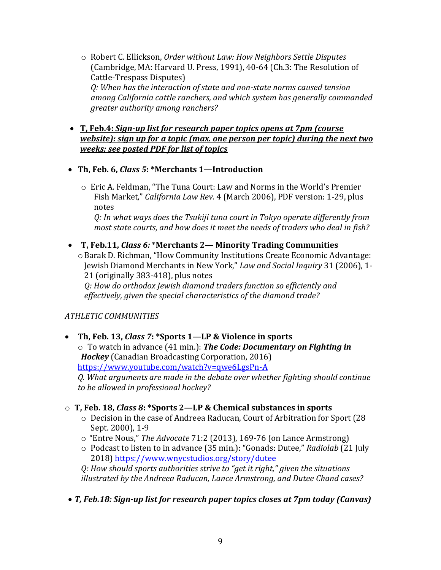- o Robert C. Ellickson, *Order without Law: How Neighbors Settle Disputes*  (Cambridge, MA: Harvard U. Press, 1991), 40-64 (Ch.3: The Resolution of Cattle-Trespass Disputes) *Q: When has the interaction of state and non-state norms caused tension among California cattle ranchers, and which system has generally commanded greater authority among ranchers?*
- **T, Feb.4:** *Sign-up list for research paper topics opens at 7pm (course website): sign up for a topic (max. one person per topic) during the next two weeks; see posted PDF for list of topics*
- **Th, Feb. 6,** *Class 5***: \*Merchants 1—Introduction** 
	- o Eric A. Feldman, "The Tuna Court: Law and Norms in the World's Premier Fish Market," *California Law Rev.* 4 (March 2006), PDF version: 1-29, plus notes

*Q: In what ways does the Tsukiji tuna court in Tokyo operate differently from most state courts, and how does it meet the needs of traders who deal in fish?*

• **T, Feb.11,** *Class 6:* \***Merchants 2— Minority Trading Communities**   $\circ$  Barak D. Richman, "How Community Institutions Create Economic Advantage: Jewish Diamond Merchants in New York," *Law and Social Inquiry* 31 (2006), 1- 21 (originally 383-418), plus notes *Q: How do orthodox Jewish diamond traders function so efficiently and effectively, given the special characteristics of the diamond trade?*

# *ATHLETIC COMMUNITIES*

### • **Th, Feb. 13,** *Class 7***: \*Sports 1—LP & Violence in sports**  o To watch in advance (41 min.): *The Code: Documentary on Fighting in Hockey* (Canadian Broadcasting Corporation, 2016) <https://www.youtube.com/watch?v=qwe6LgsPn-A> *Q. What arguments are made in the debate over whether fighting should continue to be allowed in professional hockey?*

# o **T, Feb. 18,** *Class 8***: \*Sports 2—LP & Chemical substances in sports**

- o Decision in the case of Andreea Raducan, Court of Arbitration for Sport (28 Sept. 2000), 1-9
- o "Entre Nous," *The Advocate* 71:2 (2013), 169-76 (on Lance Armstrong)
- o Podcast to listen to in advance (35 min.): "Gonads: Dutee," *Radiolab* (21 July 2018)<https://www.wnycstudios.org/story/dutee>

*Q: How should sports authorities strive to "get it right," given the situations illustrated by the Andreea Raducan, Lance Armstrong, and Dutee Chand cases?*

• *T, Feb.18: Sign-up list for research paper topics closes at 7pm today (Canvas)*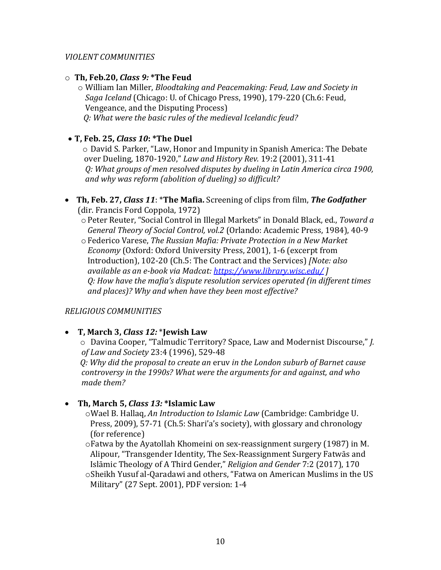#### *VIOLENT COMMUNITIES*

#### o **Th, Feb.20,** *Class 9:* **\*The Feud**

o William Ian Miller, *Bloodtaking and Peacemaking: Feud, Law and Society in Saga Iceland* (Chicago: U. of Chicago Press, 1990), 179-220 (Ch.6: Feud, Vengeance, and the Disputing Process)  *Q: What were the basic rules of the medieval Icelandic feud?* 

#### • **T, Feb. 25,** *Class 10***: \*The Duel**

o David S. Parker, "Law, Honor and Impunity in Spanish America: The Debate over Dueling, 1870-1920," *Law and History Rev.* 19:2 (2001), 311-41 *Q: What groups of men resolved disputes by dueling in Latin America circa 1900, and why was reform (abolition of dueling) so difficult?*

- **Th, Feb. 27,** *Class 11*: \***The Mafia.** Screening of clips from film, *The Godfather* (dir. Francis Ford Coppola, 1972)
	- oPeter Reuter, "Social Control in Illegal Markets" in Donald Black, ed., *Toward a General Theory of Social Control, vol.2* (Orlando: Academic Press, 1984), 40-9
	- oFederico Varese, *The Russian Mafia: Private Protection in a New Market Economy* (Oxford: Oxford University Press, 2001), 1-6 (excerpt from Introduction), 102-20 (Ch.5: The Contract and the Services) *[Note: also available as an e-book via Madcat[: https://www.library.wisc.edu/](https://www.library.wisc.edu/) ] Q: How have the mafia's dispute resolution services operated (in different times and places)? Why and when have they been most effective?*

#### *RELIGIOUS COMMUNITIES*

#### • **T, March 3,** *Class 12:* \***Jewish Law**

o Davina Cooper, "Talmudic Territory? Space, Law and Modernist Discourse," *J. of Law and Society* 23:4 (1996), 529-48

*Q: Why did the proposal to create an* eruv *in the London suburb of Barnet cause controversy in the 1990s? What were the arguments for and against, and who made them?*

#### • **Th, March 5,** *Class 13:* **\*Islamic Law**

- oWael B. Hallaq, *An Introduction to Islamic Law* (Cambridge: Cambridge U. Press, 2009), 57-71 (Ch.5: Shari'a's society), with glossary and chronology (for reference)
- oFatwa by the Ayatollah Khomeini on sex-reassignment surgery (1987) in M. Alipour, "Transgender Identity, The Sex-Reassignment Surgery Fatwās and Islāmic Theology of A Third Gender," *Religion and Gender* 7:2 (2017), 170
- oSheikh Yusuf al-Qaradawi and others, "Fatwa on American Muslims in the US Military" (27 Sept. 2001), PDF version: 1-4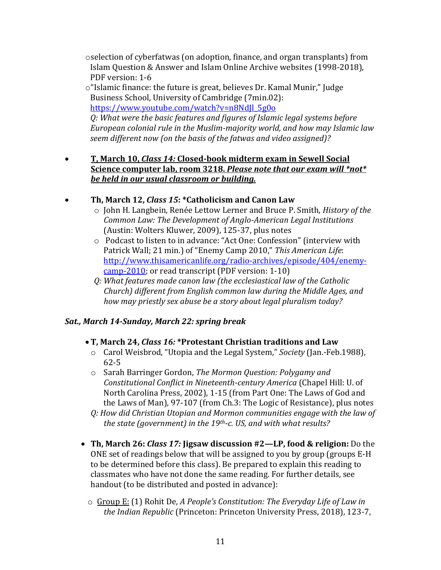oselection of cyberfatwas (on adoption, finance, and organ transplants) from Islam Question & Answer and Islam Online Archive websites (1998-2018), PDF version: 1-6

o"Islamic finance: the future is great, believes Dr. Kamal Munir," Judge Business School, University of Cambridge (7min.02): [https://www.youtube.com/watch?v=n8NdJl\\_5g0o](https://www.youtube.com/watch?v=n8NdJl_5g0o) *Q: What were the basic features and figures of Islamic legal systems before* 

*European colonial rule in the Muslim-majority world, and how may Islamic law seem different now (on the basis of the fatwas and video assigned)?*

- **T, March 10,** *Class 14:* **Closed-book midterm exam in Sewell Social Science computer lab, room 3218.** *Please note that our exam will \*not\* be held in our usual classroom or building.*
- **Th, March 12,** *Class 15***: \*Catholicism and Canon Law** 
	- o John H. Langbein, Renée Lettow Lerner and Bruce P. Smith, *History of the Common Law: The Development of Anglo-American Legal Institutions*  (Austin: Wolters Kluwer, 2009), 125-37, plus notes
	- o Podcast to listen to in advance: "Act One: Confession" (interview with Patrick Wall; 21 min.) of "Enemy Camp 2010," *This American Life*: [http://www.thisamericanlife.org/radio-archives/episode/404/enemy](http://www.thisamericanlife.org/radio-archives/episode/404/enemy-camp-2010)[camp-2010;](http://www.thisamericanlife.org/radio-archives/episode/404/enemy-camp-2010) or read transcript (PDF version: 1-10)
	- *Q: What features made canon law (the ecclesiastical law of the Catholic Church) different from English common law during the Middle Ages, and how may priestly sex abuse be a story about legal pluralism today?*

# *Sat., March 14-Sunday, March 22: spring break*

- **T, March 24,** *Class 16:* **\*Protestant Christian traditions and Law**
	- o Carol Weisbrod, "Utopia and the Legal System," *Society* (Jan.-Feb.1988), 62-5
	- o Sarah Barringer Gordon, *The Mormon Question: Polygamy and Constitutional Conflict in Nineteenth-century America* (Chapel Hill: U. of North Carolina Press, 2002), 1-15 (from Part One: The Laws of God and the Laws of Man), 97-107 (from Ch.3: The Logic of Resistance), plus notes
	- *Q: How did Christian Utopian and Mormon communities engage with the law of the state (government) in the 19th-c. US, and with what results?*
- **Th, March 26:** *Class 17:* **Jigsaw discussion #2—LP, food & religion:** Do the ONE set of readings below that will be assigned to you by group (groups E-H to be determined before this class). Be prepared to explain this reading to classmates who have not done the same reading. For further details, see handout (to be distributed and posted in advance):
	- o Group E: (1) Rohit De, *A People's Constitution: The Everyday Life of Law in the Indian Republic* (Princeton: Princeton University Press, 2018), 123-7,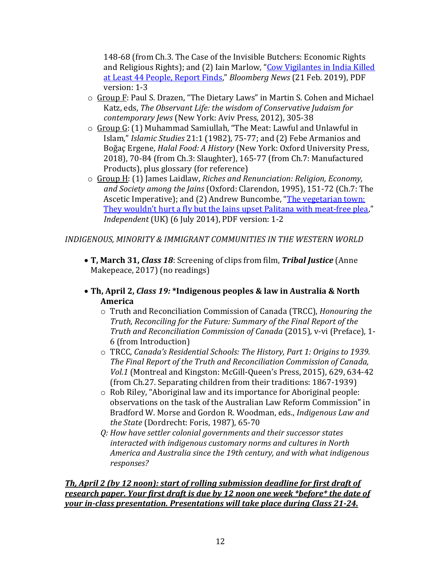148-68 (from Ch.3. The Case of the Invisible Butchers: Economic Rights and Religious Rights); and (2) Iain Marlow, "Cow Vigilantes in India Killed [at Least 44 People, Report Finds,](https://www.bloomberg.com/news/articles/2019-02-20/cow-vigilantes-in-india-killed-at-least-44-people-report-finds)" *Bloomberg News* (21 Feb. 2019), PDF version: 1-3

- o Group F: Paul S. Drazen, "The Dietary Laws" in Martin S. Cohen and Michael Katz, eds, *The Observant Life: the wisdom of Conservative Judaism for contemporary Jews* (New York: Aviv Press, 2012), 305-38
- $\circ$  Group G: (1) Muhammad Samiullah, "The Meat: Lawful and Unlawful in Islam," *Islamic Studies* 21:1 (1982), 75-77; and (2) Febe Armanios and Boğaç Ergene, *Halal Food: A History* (New York: Oxford University Press, 2018), 70-84 (from Ch.3: Slaughter), 165-77 (from Ch.7: Manufactured Products), plus glossary (for reference)
- o Group H: (1) James Laidlaw, *Riches and Renunciation: Religion, Economy, and Society among the Jains* (Oxford: Clarendon, 1995), 151-72 (Ch.7: The Ascetic Imperative); and (2) Andrew Buncombe, "[The vegetarian town:](https://www.independent.co.uk/news/world/asia/the-vegetarian-town-they-wouldn-t-hurt-a-fly-but-the-jains-upset-palitana-with-meat-free-plea-9588087.html)  [They wouldn't hurt a fly but the Jains upset Palitana with meat](https://www.independent.co.uk/news/world/asia/the-vegetarian-town-they-wouldn-t-hurt-a-fly-but-the-jains-upset-palitana-with-meat-free-plea-9588087.html)-free plea," *Independent* (UK) (6 July 2014), PDF version: 1-2

# *INDIGENOUS, MINORITY & IMMIGRANT COMMUNITIES IN THE WESTERN WORLD*

- **T, March 31,** *Class 18*: Screening of clips from film, *Tribal Justice* (Anne Makepeace, 2017) (no readings)
- **Th, April 2,** *Class 19:* **\*Indigenous peoples & law in Australia & North America**
	- o Truth and Reconciliation Commission of Canada (TRCC), *Honouring the Truth, Reconciling for the Future: Summary of the Final Report of the Truth and Reconciliation Commission of Canada* (2015)*,* v-vi (Preface), 1- 6 (from Introduction)
	- o TRCC, *Canada's Residential Schools: The History, Part 1: Origins to 1939. The Final Report of the Truth and Reconciliation Commission of Canada, Vol.1* (Montreal and Kingston: McGill-Queen's Press, 2015), 629, 634-42 (from Ch.27. Separating children from their traditions: 1867-1939)
	- o Rob Riley, "Aboriginal law and its importance for Aboriginal people: observations on the task of the Australian Law Reform Commission" in Bradford W. Morse and Gordon R. Woodman, eds., *Indigenous Law and the State* (Dordrecht: Foris, 1987), 65-70
	- *Q: How have settler colonial governments and their successor states interacted with indigenous customary norms and cultures in North America and Australia since the 19th century, and with what indigenous responses?*

#### *Th, April 2 (by 12 noon): start of rolling submission deadline for first draft of research paper. Your first draft is due by 12 noon one week \*before\* the date of your in-class presentation. Presentations will take place during Class 21-24.*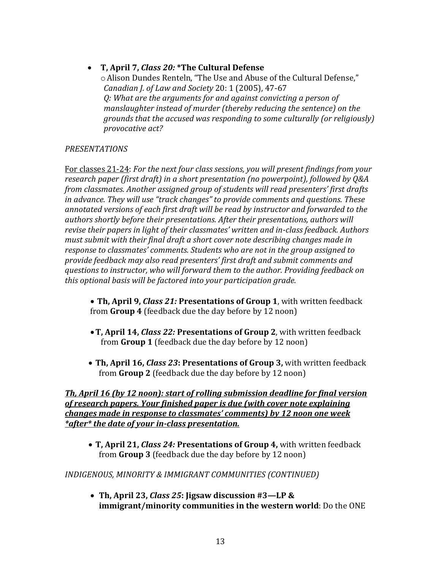# • **T, April 7,** *Class 20:* **\*The Cultural Defense**

oAlison Dundes Renteln, "The Use and Abuse of the Cultural Defense," *Canadian J. of Law and Society* 20: 1 (2005), 47-67 *Q: What are the arguments for and against convicting a person of manslaughter instead of murder (thereby reducing the sentence) on the grounds that the accused was responding to some culturally (or religiously) provocative act?*

## *PRESENTATIONS*

For classes 21-24: *For the next four class sessions, you will present findings from your research paper (first draft) in a short presentation (no powerpoint), followed by Q&A from classmates. Another assigned group of students will read presenters' first drafts in advance. They will use "track changes" to provide comments and questions. These annotated versions of each first draft will be read by instructor and forwarded to the authors shortly before their presentations. After their presentations, authors will revise their papers in light of their classmates' written and in-class feedback. Authors must submit with their final draft a short cover note describing changes made in response to classmates' comments. Students who are not in the group assigned to provide feedback may also read presenters' first draft and submit comments and questions to instructor, who will forward them to the author. Providing feedback on this optional basis will be factored into your participation grade.*

- **Th, April 9,** *Class 21:* **Presentations of Group 1**, with written feedback from **Group 4** (feedback due the day before by 12 noon)
- •**T, April 14,** *Class 22:* **Presentations of Group 2**, with written feedback from **Group 1** (feedback due the day before by 12 noon)
- **Th, April 16,** *Class 23***: Presentations of Group 3,** with written feedback from **Group 2** (feedback due the day before by 12 noon)

*Th, April 16 (by 12 noon): start of rolling submission deadline for final version of research papers. Your finished paper is due (with cover note explaining changes made in response to classmates' comments) by 12 noon one week \*after\* the date of your in-class presentation.*

• **T, April 21,** *Class 24:* **Presentations of Group 4,** with written feedback from **Group 3** (feedback due the day before by 12 noon)

*INDIGENOUS, MINORITY & IMMIGRANT COMMUNITIES (CONTINUED)*

• **Th, April 23,** *Class 25***: Jigsaw discussion #3—LP & immigrant/minority communities in the western world**: Do the ONE